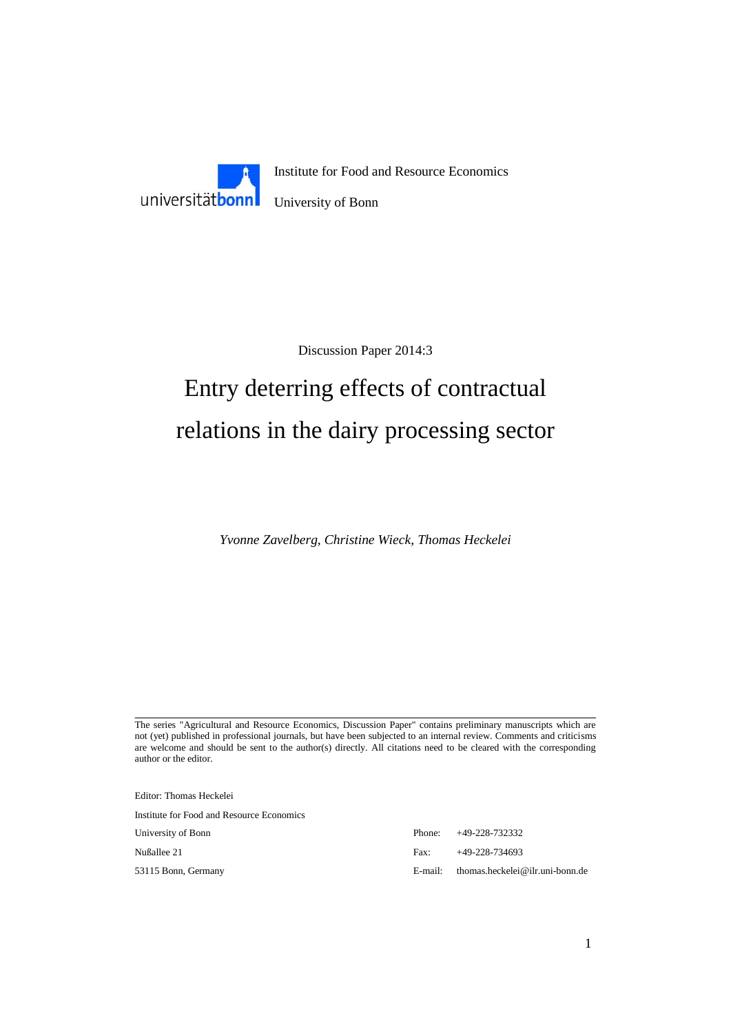

Discussion Paper 2014:3

# Entry deterring effects of contractual relations in the dairy processing sector

*Yvonne Zavelberg, Christine Wieck, Thomas Heckelei*

The series "Agricultural and Resource Economics, Discussion Paper" contains preliminary manuscripts which are not (yet) published in professional journals, but have been subjected to an internal review. Comments and criticisms are welcome and should be sent to the author(s) directly. All citations need to be cleared with the corresponding author or the editor.

Editor: Thomas Heckelei Institute for Food and Resource Economics

University of Bonn Phone: +49-228-732332 Nußallee 21 Fax: +49-228-734693 53115 Bonn, Germany E-mail: thomas.heckelei@ilr.uni-bonn.de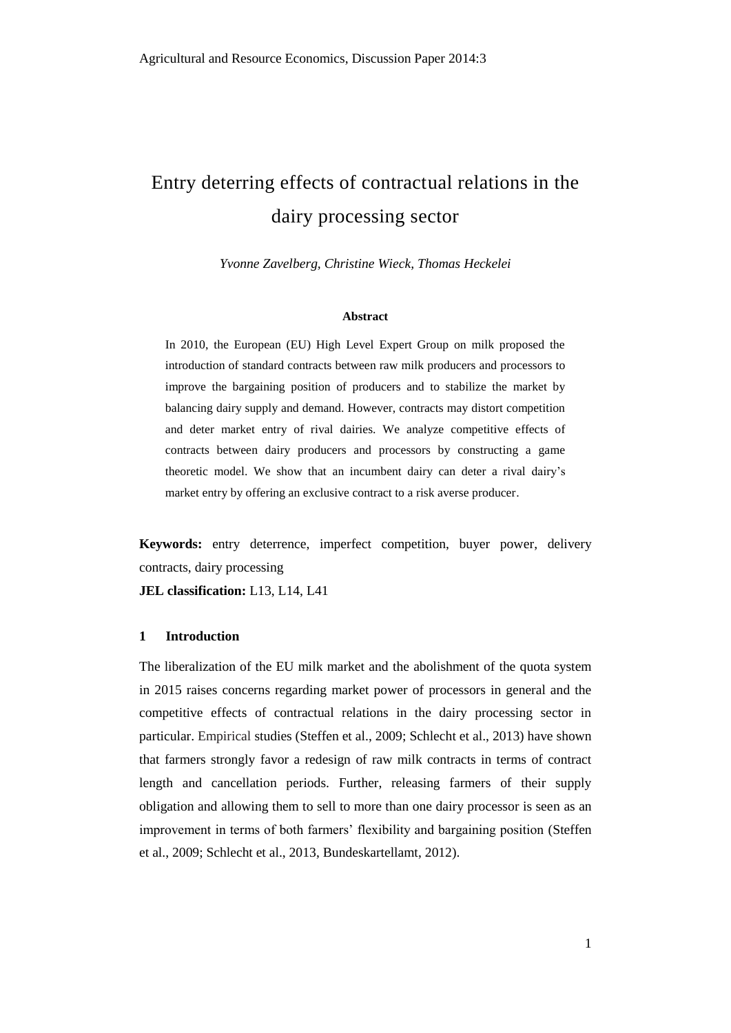## Entry deterring effects of contractual relations in the dairy processing sector

*Yvonne Zavelberg, Christine Wieck, Thomas Heckelei*

#### **Abstract**

In 2010, the European (EU) High Level Expert Group on milk proposed the introduction of standard contracts between raw milk producers and processors to improve the bargaining position of producers and to stabilize the market by balancing dairy supply and demand. However, contracts may distort competition and deter market entry of rival dairies. We analyze competitive effects of contracts between dairy producers and processors by constructing a game theoretic model. We show that an incumbent dairy can deter a rival dairy's market entry by offering an exclusive contract to a risk averse producer.

**Keywords:** entry deterrence, imperfect competition, buyer power, delivery contracts, dairy processing

**JEL classification:** L13, L14, L41

#### **1 Introduction**

The liberalization of the EU milk market and the abolishment of the quota system in 2015 raises concerns regarding market power of processors in general and the competitive effects of contractual relations in the dairy processing sector in particular. Empirical studies (Steffen et al., 2009; Schlecht et al., 2013) have shown that farmers strongly favor a redesign of raw milk contracts in terms of contract length and cancellation periods. Further, releasing farmers of their supply obligation and allowing them to sell to more than one dairy processor is seen as an improvement in terms of both farmers' flexibility and bargaining position (Steffen et al., 2009; Schlecht et al., 2013, Bundeskartellamt, 2012).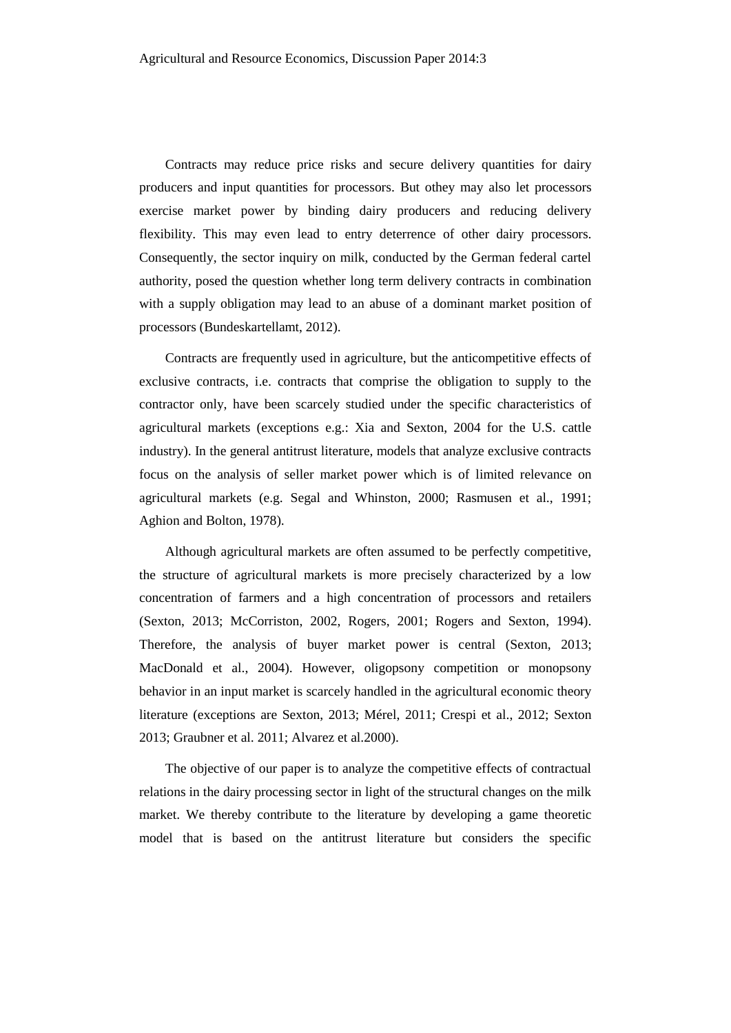Contracts may reduce price risks and secure delivery quantities for dairy producers and input quantities for processors. But othey may also let processors exercise market power by binding dairy producers and reducing delivery flexibility. This may even lead to entry deterrence of other dairy processors. Consequently, the sector inquiry on milk, conducted by the German federal cartel authority, posed the question whether long term delivery contracts in combination with a supply obligation may lead to an abuse of a dominant market position of processors (Bundeskartellamt, 2012).

Contracts are frequently used in agriculture, but the anticompetitive effects of exclusive contracts, i.e. contracts that comprise the obligation to supply to the contractor only, have been scarcely studied under the specific characteristics of agricultural markets (exceptions e.g.: Xia and Sexton, 2004 for the U.S. cattle industry). In the general antitrust literature, models that analyze exclusive contracts focus on the analysis of seller market power which is of limited relevance on agricultural markets (e.g. Segal and Whinston, 2000; Rasmusen et al., 1991; Aghion and Bolton, 1978).

Although agricultural markets are often assumed to be perfectly competitive, the structure of agricultural markets is more precisely characterized by a low concentration of farmers and a high concentration of processors and retailers (Sexton, 2013; McCorriston, 2002, Rogers, 2001; Rogers and Sexton, 1994). Therefore, the analysis of buyer market power is central (Sexton, 2013; MacDonald et al., 2004). However, oligopsony competition or monopsony behavior in an input market is scarcely handled in the agricultural economic theory literature (exceptions are Sexton, 2013; Mérel, 2011; Crespi et al., 2012; Sexton 2013; Graubner et al. 2011; Alvarez et al.2000).

The objective of our paper is to analyze the competitive effects of contractual relations in the dairy processing sector in light of the structural changes on the milk market. We thereby contribute to the literature by developing a game theoretic model that is based on the antitrust literature but considers the specific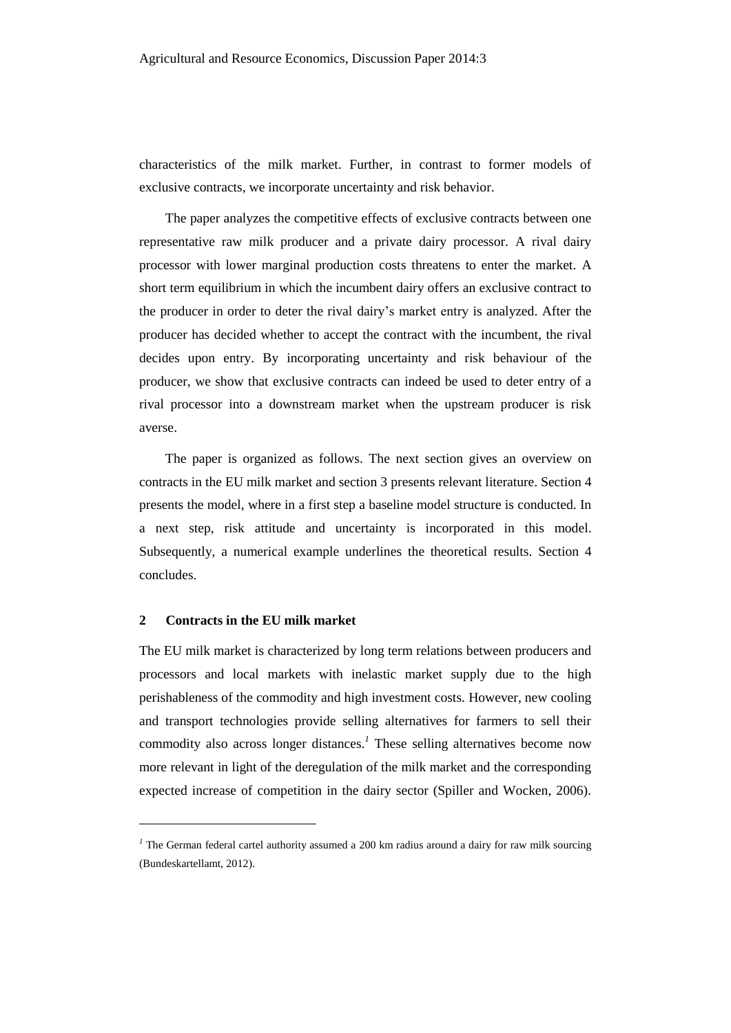characteristics of the milk market. Further, in contrast to former models of exclusive contracts, we incorporate uncertainty and risk behavior.

The paper analyzes the competitive effects of exclusive contracts between one representative raw milk producer and a private dairy processor. A rival dairy processor with lower marginal production costs threatens to enter the market. A short term equilibrium in which the incumbent dairy offers an exclusive contract to the producer in order to deter the rival dairy's market entry is analyzed. After the producer has decided whether to accept the contract with the incumbent, the rival decides upon entry. By incorporating uncertainty and risk behaviour of the producer, we show that exclusive contracts can indeed be used to deter entry of a rival processor into a downstream market when the upstream producer is risk averse.

The paper is organized as follows. The next section gives an overview on contracts in the EU milk market and section 3 presents relevant literature. Section 4 presents the model, where in a first step a baseline model structure is conducted. In a next step, risk attitude and uncertainty is incorporated in this model. Subsequently, a numerical example underlines the theoretical results. Section 4 concludes.

#### **2 Contracts in the EU milk market**

l

The EU milk market is characterized by long term relations between producers and processors and local markets with inelastic market supply due to the high perishableness of the commodity and high investment costs. However, new cooling and transport technologies provide selling alternatives for farmers to sell their commodity also across longer distances.*<sup>1</sup>* These selling alternatives become now more relevant in light of the deregulation of the milk market and the corresponding expected increase of competition in the dairy sector (Spiller and Wocken, 2006).

<sup>&</sup>lt;sup>*1*</sup> The German federal cartel authority assumed a 200 km radius around a dairy for raw milk sourcing (Bundeskartellamt, 2012).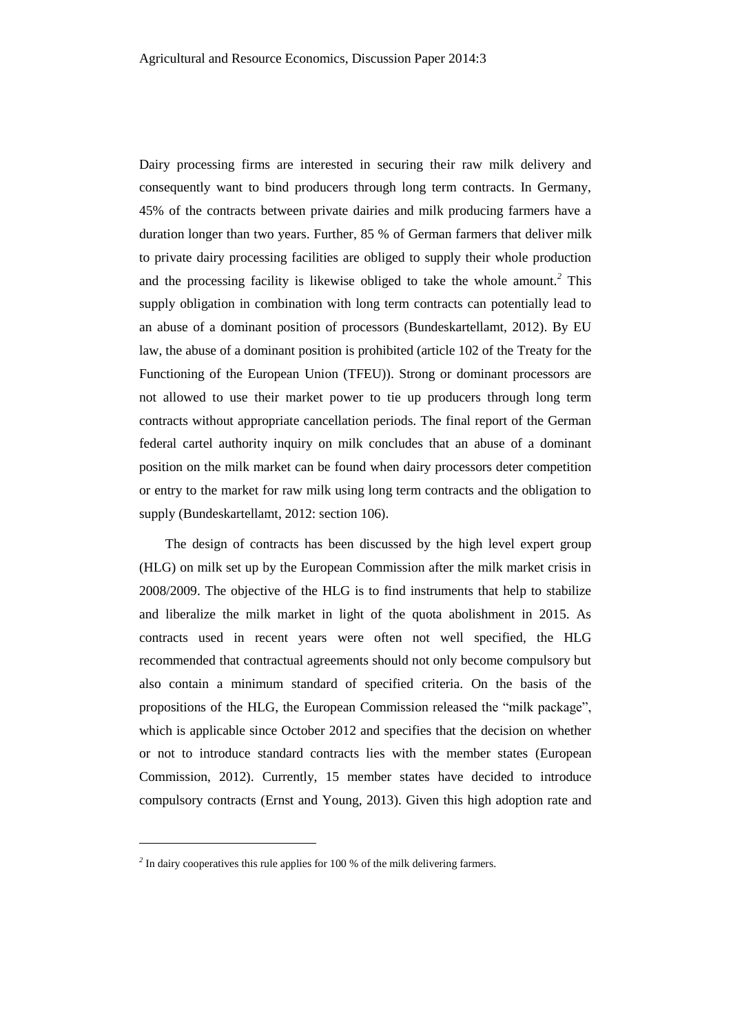Dairy processing firms are interested in securing their raw milk delivery and consequently want to bind producers through long term contracts. In Germany, 45% of the contracts between private dairies and milk producing farmers have a duration longer than two years. Further, 85 % of German farmers that deliver milk to private dairy processing facilities are obliged to supply their whole production and the processing facility is likewise obliged to take the whole amount.*<sup>2</sup>* This supply obligation in combination with long term contracts can potentially lead to an abuse of a dominant position of processors (Bundeskartellamt, 2012). By EU law, the abuse of a dominant position is prohibited (article 102 of the Treaty for the Functioning of the European Union (TFEU)). Strong or dominant processors are not allowed to use their market power to tie up producers through long term contracts without appropriate cancellation periods. The final report of the German federal cartel authority inquiry on milk concludes that an abuse of a dominant position on the milk market can be found when dairy processors deter competition or entry to the market for raw milk using long term contracts and the obligation to supply (Bundeskartellamt, 2012: section 106).

The design of contracts has been discussed by the high level expert group (HLG) on milk set up by the European Commission after the milk market crisis in 2008/2009. The objective of the HLG is to find instruments that help to stabilize and liberalize the milk market in light of the quota abolishment in 2015. As contracts used in recent years were often not well specified, the HLG recommended that contractual agreements should not only become compulsory but also contain a minimum standard of specified criteria. On the basis of the propositions of the HLG, the European Commission released the "milk package", which is applicable since October 2012 and specifies that the decision on whether or not to introduce standard contracts lies with the member states (European Commission, 2012). Currently, 15 member states have decided to introduce compulsory contracts (Ernst and Young, 2013). Given this high adoption rate and

 $\overline{a}$ 

<sup>&</sup>lt;sup>2</sup> In dairy cooperatives this rule applies for 100 % of the milk delivering farmers.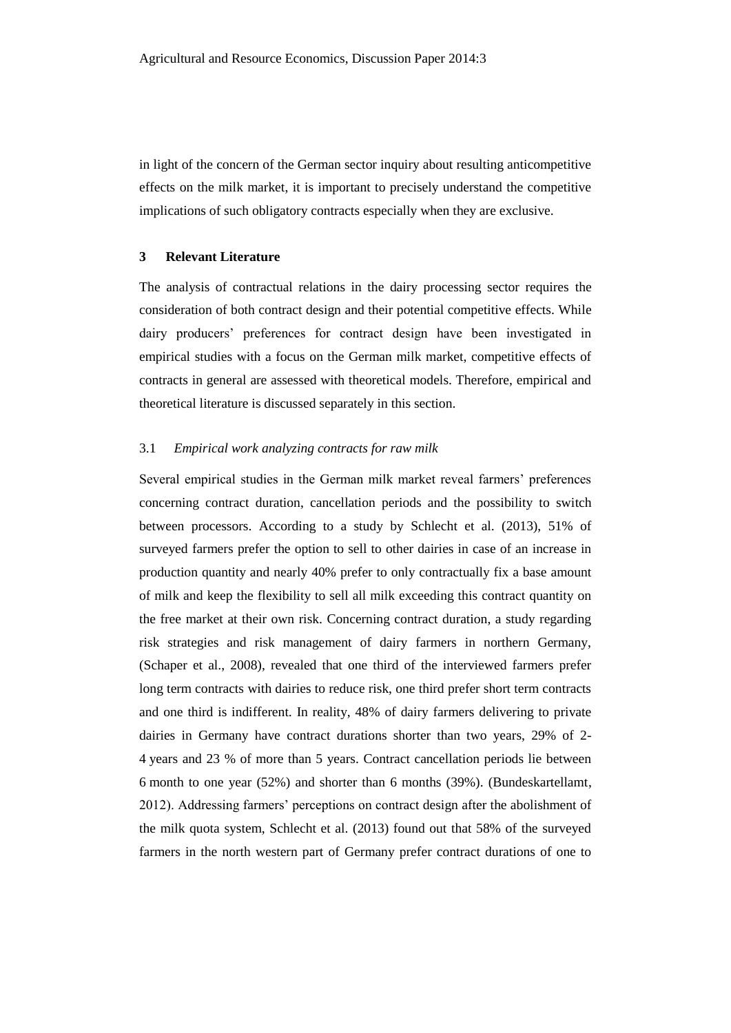in light of the concern of the German sector inquiry about resulting anticompetitive effects on the milk market, it is important to precisely understand the competitive implications of such obligatory contracts especially when they are exclusive.

#### **3 Relevant Literature**

The analysis of contractual relations in the dairy processing sector requires the consideration of both contract design and their potential competitive effects. While dairy producers' preferences for contract design have been investigated in empirical studies with a focus on the German milk market, competitive effects of contracts in general are assessed with theoretical models. Therefore, empirical and theoretical literature is discussed separately in this section.

#### 3.1 *Empirical work analyzing contracts for raw milk*

Several empirical studies in the German milk market reveal farmers' preferences concerning contract duration, cancellation periods and the possibility to switch between processors. According to a study by Schlecht et al. (2013), 51% of surveyed farmers prefer the option to sell to other dairies in case of an increase in production quantity and nearly 40% prefer to only contractually fix a base amount of milk and keep the flexibility to sell all milk exceeding this contract quantity on the free market at their own risk. Concerning contract duration, a study regarding risk strategies and risk management of dairy farmers in northern Germany, (Schaper et al., 2008), revealed that one third of the interviewed farmers prefer long term contracts with dairies to reduce risk, one third prefer short term contracts and one third is indifferent. In reality, 48% of dairy farmers delivering to private dairies in Germany have contract durations shorter than two years, 29% of 2- 4 years and 23 % of more than 5 years. Contract cancellation periods lie between 6 month to one year (52%) and shorter than 6 months (39%). (Bundeskartellamt, 2012). Addressing farmers' perceptions on contract design after the abolishment of the milk quota system, Schlecht et al. (2013) found out that 58% of the surveyed farmers in the north western part of Germany prefer contract durations of one to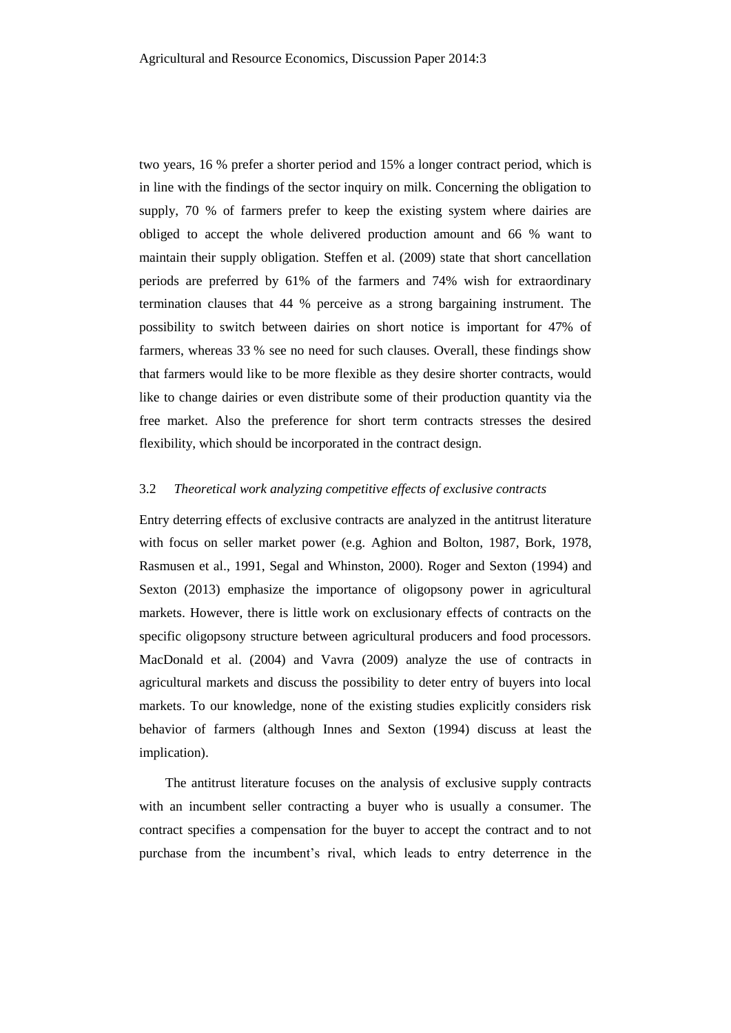two years, 16 % prefer a shorter period and 15% a longer contract period, which is in line with the findings of the sector inquiry on milk. Concerning the obligation to supply, 70 % of farmers prefer to keep the existing system where dairies are obliged to accept the whole delivered production amount and 66 % want to maintain their supply obligation. Steffen et al. (2009) state that short cancellation periods are preferred by 61% of the farmers and 74% wish for extraordinary termination clauses that 44 % perceive as a strong bargaining instrument. The possibility to switch between dairies on short notice is important for 47% of farmers, whereas 33 % see no need for such clauses. Overall, these findings show that farmers would like to be more flexible as they desire shorter contracts, would like to change dairies or even distribute some of their production quantity via the free market. Also the preference for short term contracts stresses the desired flexibility, which should be incorporated in the contract design.

#### 3.2 *Theoretical work analyzing competitive effects of exclusive contracts*

Entry deterring effects of exclusive contracts are analyzed in the antitrust literature with focus on seller market power (e.g. Aghion and Bolton, 1987, Bork, 1978, Rasmusen et al., 1991, Segal and Whinston, 2000). Roger and Sexton (1994) and Sexton (2013) emphasize the importance of oligopsony power in agricultural markets. However, there is little work on exclusionary effects of contracts on the specific oligopsony structure between agricultural producers and food processors. MacDonald et al. (2004) and Vavra (2009) analyze the use of contracts in agricultural markets and discuss the possibility to deter entry of buyers into local markets. To our knowledge, none of the existing studies explicitly considers risk behavior of farmers (although Innes and Sexton (1994) discuss at least the implication).

The antitrust literature focuses on the analysis of exclusive supply contracts with an incumbent seller contracting a buyer who is usually a consumer. The contract specifies a compensation for the buyer to accept the contract and to not purchase from the incumbent's rival, which leads to entry deterrence in the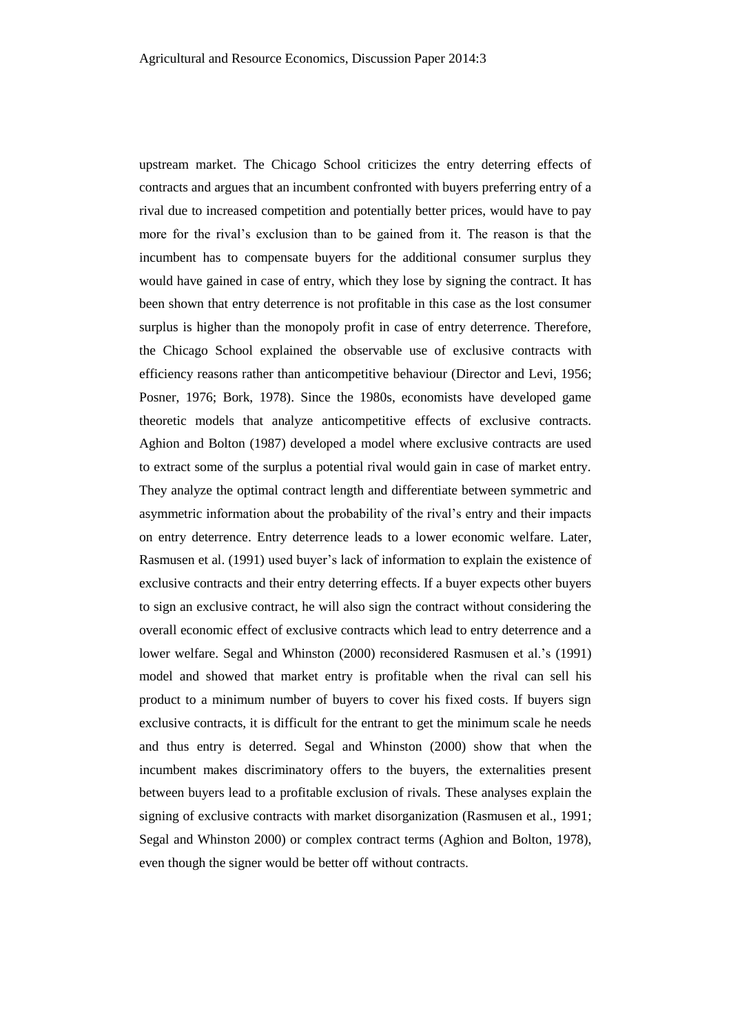upstream market. The Chicago School criticizes the entry deterring effects of contracts and argues that an incumbent confronted with buyers preferring entry of a rival due to increased competition and potentially better prices, would have to pay more for the rival's exclusion than to be gained from it. The reason is that the incumbent has to compensate buyers for the additional consumer surplus they would have gained in case of entry, which they lose by signing the contract. It has been shown that entry deterrence is not profitable in this case as the lost consumer surplus is higher than the monopoly profit in case of entry deterrence. Therefore, the Chicago School explained the observable use of exclusive contracts with efficiency reasons rather than anticompetitive behaviour (Director and Levi, 1956; Posner, 1976; Bork, 1978). Since the 1980s, economists have developed game theoretic models that analyze anticompetitive effects of exclusive contracts. Aghion and Bolton (1987) developed a model where exclusive contracts are used to extract some of the surplus a potential rival would gain in case of market entry. They analyze the optimal contract length and differentiate between symmetric and asymmetric information about the probability of the rival's entry and their impacts on entry deterrence. Entry deterrence leads to a lower economic welfare. Later, Rasmusen et al. (1991) used buyer's lack of information to explain the existence of exclusive contracts and their entry deterring effects. If a buyer expects other buyers to sign an exclusive contract, he will also sign the contract without considering the overall economic effect of exclusive contracts which lead to entry deterrence and a lower welfare. Segal and Whinston (2000) reconsidered Rasmusen et al.'s (1991) model and showed that market entry is profitable when the rival can sell his product to a minimum number of buyers to cover his fixed costs. If buyers sign exclusive contracts, it is difficult for the entrant to get the minimum scale he needs and thus entry is deterred. Segal and Whinston (2000) show that when the incumbent makes discriminatory offers to the buyers, the externalities present between buyers lead to a profitable exclusion of rivals. These analyses explain the signing of exclusive contracts with market disorganization (Rasmusen et al., 1991; Segal and Whinston 2000) or complex contract terms (Aghion and Bolton, 1978), even though the signer would be better off without contracts.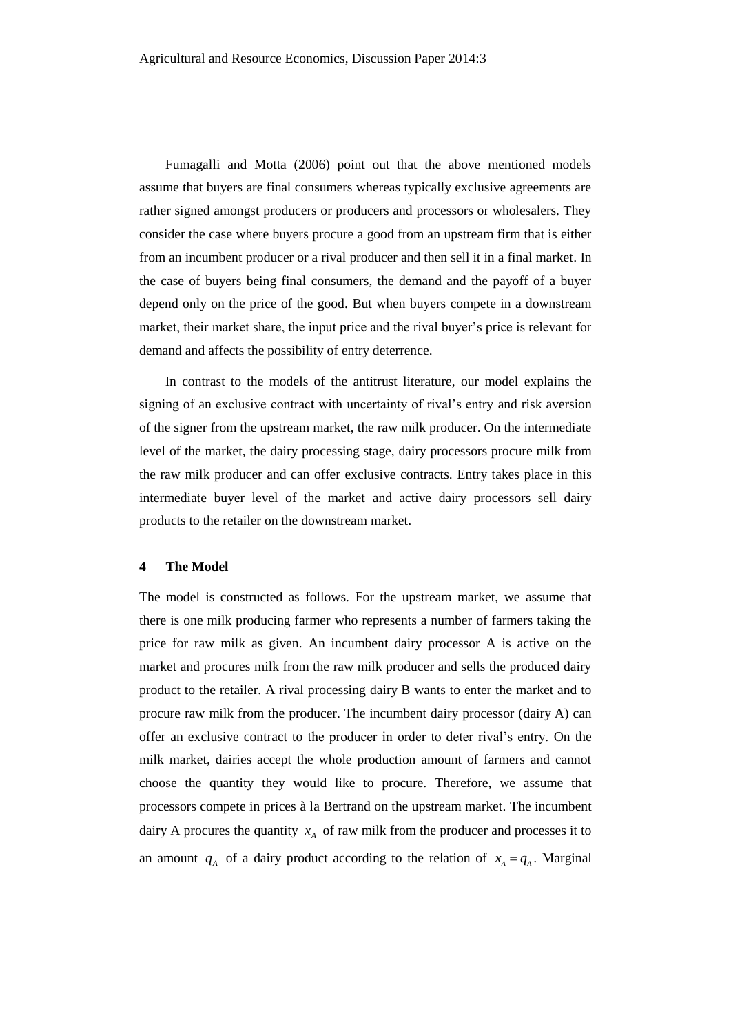Fumagalli and Motta (2006) point out that the above mentioned models assume that buyers are final consumers whereas typically exclusive agreements are rather signed amongst producers or producers and processors or wholesalers. They consider the case where buyers procure a good from an upstream firm that is either from an incumbent producer or a rival producer and then sell it in a final market. In the case of buyers being final consumers, the demand and the payoff of a buyer depend only on the price of the good. But when buyers compete in a downstream market, their market share, the input price and the rival buyer's price is relevant for demand and affects the possibility of entry deterrence.

In contrast to the models of the antitrust literature, our model explains the signing of an exclusive contract with uncertainty of rival's entry and risk aversion of the signer from the upstream market, the raw milk producer. On the intermediate level of the market, the dairy processing stage, dairy processors procure milk from the raw milk producer and can offer exclusive contracts. Entry takes place in this intermediate buyer level of the market and active dairy processors sell dairy products to the retailer on the downstream market.

#### **4 The Model**

The model is constructed as follows. For the upstream market, we assume that there is one milk producing farmer who represents a number of farmers taking the price for raw milk as given. An incumbent dairy processor A is active on the market and procures milk from the raw milk producer and sells the produced dairy product to the retailer. A rival processing dairy B wants to enter the market and to procure raw milk from the producer. The incumbent dairy processor (dairy A) can offer an exclusive contract to the producer in order to deter rival's entry. On the milk market, dairies accept the whole production amount of farmers and cannot choose the quantity they would like to procure. Therefore, we assume that processors compete in prices à la Bertrand on the upstream market. The incumbent dairy A procures the quantity  $x_A$  of raw milk from the producer and processes it to an amount  $q_A$  of a dairy product according to the relation of  $x_A = q_A$ . Marginal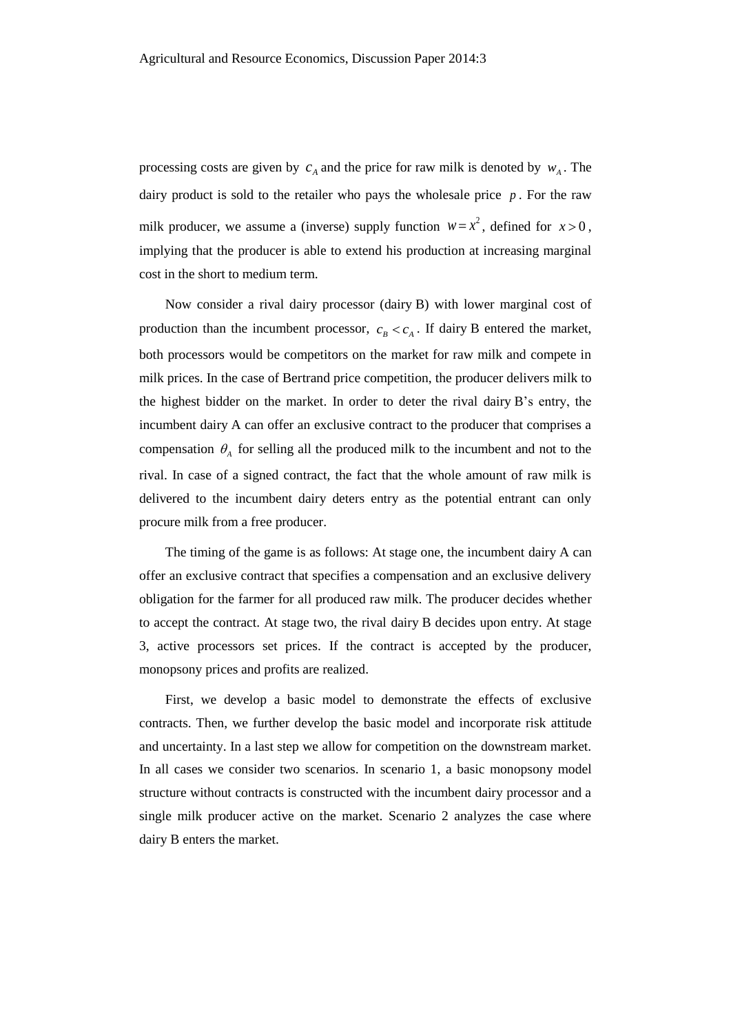processing costs are given by  $c_A$  and the price for raw milk is denoted by  $w_A$ . The dairy product is sold to the retailer who pays the wholesale price  $p$ . For the raw milk producer, we assume a (inverse) supply function  $w = x^2$ , defined for  $x > 0$ , implying that the producer is able to extend his production at increasing marginal cost in the short to medium term.

Now consider a rival dairy processor (dairy B) with lower marginal cost of production than the incumbent processor,  $c_B < c_A$ . If dairy B entered the market, both processors would be competitors on the market for raw milk and compete in milk prices. In the case of Bertrand price competition, the producer delivers milk to the highest bidder on the market. In order to deter the rival dairy B's entry, the incumbent dairy A can offer an exclusive contract to the producer that comprises a compensation  $\theta_A$  for selling all the produced milk to the incumbent and not to the rival. In case of a signed contract, the fact that the whole amount of raw milk is delivered to the incumbent dairy deters entry as the potential entrant can only procure milk from a free producer.

The timing of the game is as follows: At stage one, the incumbent dairy A can offer an exclusive contract that specifies a compensation and an exclusive delivery obligation for the farmer for all produced raw milk. The producer decides whether to accept the contract. At stage two, the rival dairy B decides upon entry. At stage 3, active processors set prices. If the contract is accepted by the producer, monopsony prices and profits are realized.

First, we develop a basic model to demonstrate the effects of exclusive contracts. Then, we further develop the basic model and incorporate risk attitude and uncertainty. In a last step we allow for competition on the downstream market. In all cases we consider two scenarios. In scenario 1, a basic monopsony model structure without contracts is constructed with the incumbent dairy processor and a single milk producer active on the market. Scenario 2 analyzes the case where dairy B enters the market.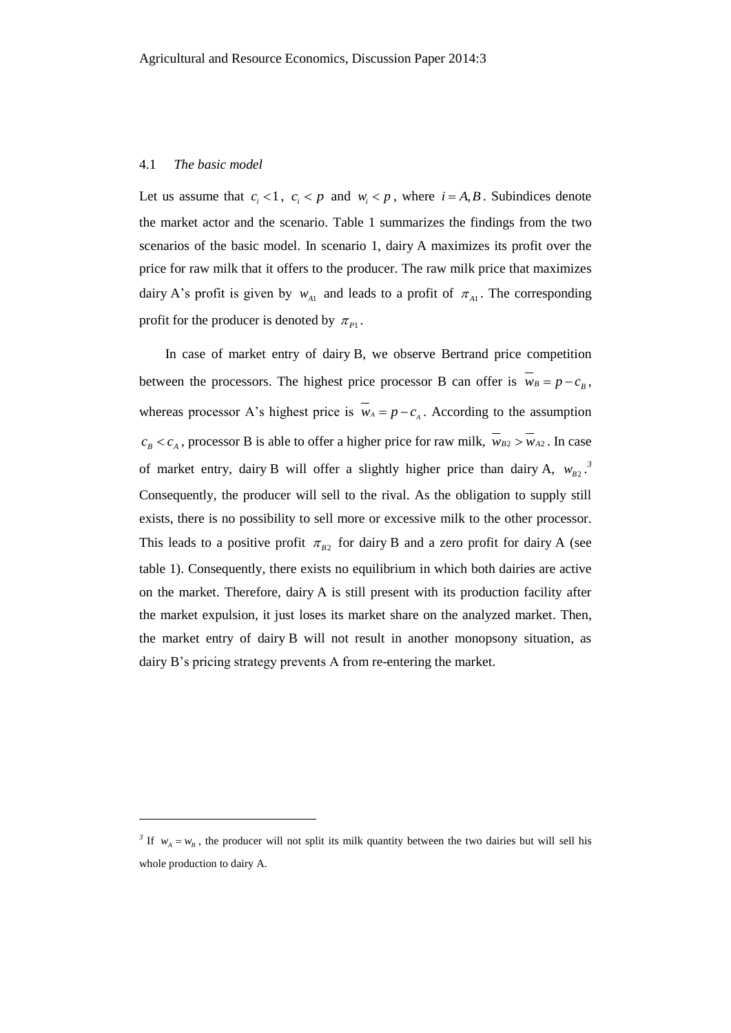#### 4.1 *The basic model*

l

Let us assume that  $c_i < 1$ ,  $c_i < p$  and  $w_i < p$ , where  $i = A, B$ . Subindices denote the market actor and the scenario. Table 1 summarizes the findings from the two scenarios of the basic model. In scenario 1, dairy A maximizes its profit over the price for raw milk that it offers to the producer. The raw milk price that maximizes dairy A's profit is given by  $w_{A1}$  and leads to a profit of  $\pi_{A1}$ . The corresponding profit for the producer is denoted by  $\pi_{p_1}$ .

In case of market entry of dairy B, we observe Bertrand price competition between the processors. The highest price processor B can offer is  $w_B = p - c_B$ , whereas processor A's highest price is  $w_A = p - c_A$ . According to the assumption  $c_B < c_A$ , processor B is able to offer a higher price for raw milk,  $w_{B2} > w_{A2}$ . In case of market entry, dairy B will offer a slightly higher price than dairy A,  $w_{B2}$ <sup>3</sup> Consequently, the producer will sell to the rival. As the obligation to supply still exists, there is no possibility to sell more or excessive milk to the other processor. This leads to a positive profit  $\pi_{B2}$  for dairy B and a zero profit for dairy A (see table 1). Consequently, there exists no equilibrium in which both dairies are active on the market. Therefore, dairy A is still present with its production facility after the market expulsion, it just loses its market share on the analyzed market. Then, the market entry of dairy B will not result in another monopsony situation, as dairy B's pricing strategy prevents A from re-entering the market.

<sup>&</sup>lt;sup>3</sup> If  $w_A = w_B$ , the producer will not split its milk quantity between the two dairies but will sell his whole production to dairy A.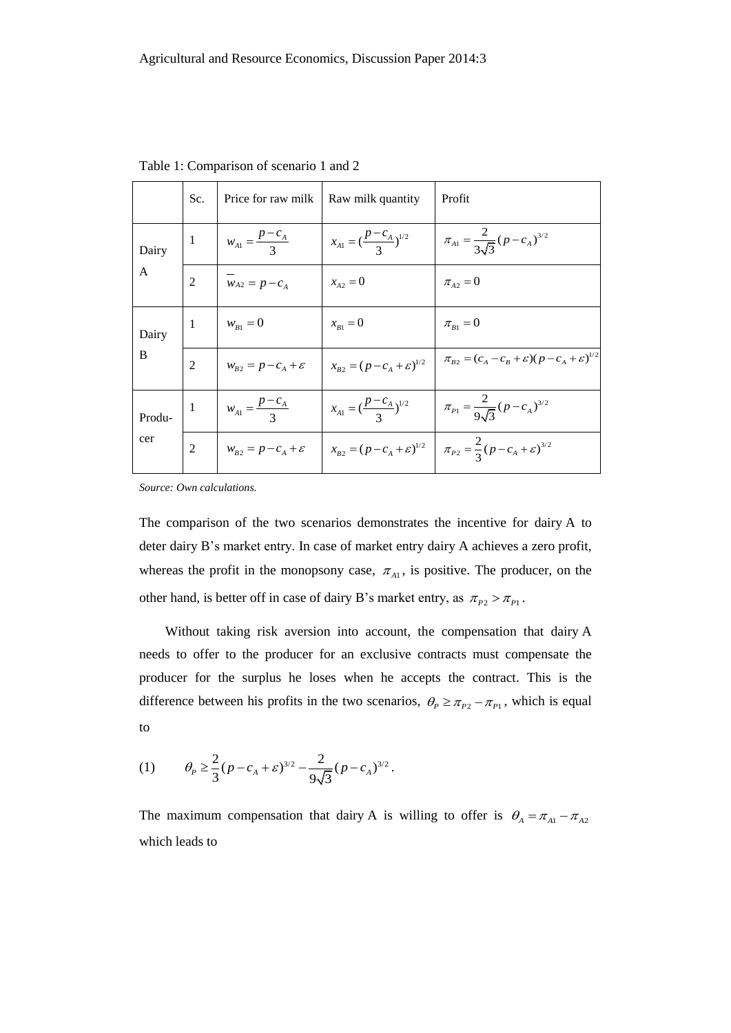|               | Sc.            | Price for raw milk   Raw milk quantity |                                                                           | Profit                                                                                                                                                       |
|---------------|----------------|----------------------------------------|---------------------------------------------------------------------------|--------------------------------------------------------------------------------------------------------------------------------------------------------------|
| Dairy<br>A    | -1             | $w_{A1} = \frac{P - C_A}{3}$           | $x_{A1} = \left(\frac{p-c_A}{3}\right)^{1/2}$                             | $\pi_{A1} = \frac{2}{3\sqrt{3}} (p - c_A)^{3/2}$                                                                                                             |
|               | $\overline{2}$ | $\overline{w}_{A2} = p - c_A$          | $x_{A2} = 0$                                                              | $\pi_{A2} = 0$                                                                                                                                               |
| Dairy<br>B    | -1             | $w_{B1} = 0$                           | $x_{B1} = 0$                                                              | $\pi_{B1} = 0$                                                                                                                                               |
|               | $\overline{2}$ |                                        | $w_{B2} = p - c_A + \varepsilon$ $x_{B2} = (p - c_A + \varepsilon)^{1/2}$ | $\pi_{B2} = (c_A - c_B + \varepsilon)(p - c_A + \varepsilon)^{1/2}$                                                                                          |
| Produ-<br>cer | -1             | $w_{A1} = \frac{p - c_A}{3}$           | $x_{A1} = \left(\frac{p - c_A}{3}\right)^{1/2}$                           | $\pi_{p_1} = \frac{2}{9\sqrt{3}} (p - c_A)^{3/2}$                                                                                                            |
|               |                |                                        |                                                                           | 2 $\left  w_{B2} = p - c_A + \varepsilon \right  x_{B2} = (p - c_A + \varepsilon)^{1/2} \left  \pi_{P2} = \frac{2}{3} (p - c_A + \varepsilon)^{3/2} \right $ |

Table 1: Comparison of scenario 1 and 2

*Source: Own calculations.*

The comparison of the two scenarios demonstrates the incentive for dairy A to deter dairy B's market entry. In case of market entry dairy A achieves a zero profit, whereas the profit in the monopsony case,  $\pi_{A1}$ , is positive. The producer, on the other hand, is better off in case of dairy B's market entry, as  $\pi_{P2} > \pi_{P1}$ .

Without taking risk aversion into account, the compensation that dairy A needs to offer to the producer for an exclusive contracts must compensate the producer for the surplus he loses when he accepts the contract. This is the difference between his profits in the two scenarios,  $\theta_p \ge \pi_{p_2} - \pi_{p_1}$ , which is equal to

(1) 
$$
\theta_P \geq \frac{2}{3} (p - c_A + \varepsilon)^{3/2} - \frac{2}{9\sqrt{3}} (p - c_A)^{3/2}.
$$

The maximum compensation that dairy A is willing to offer is  $\theta_A = \pi_{A1} - \pi_{A2}$ which leads to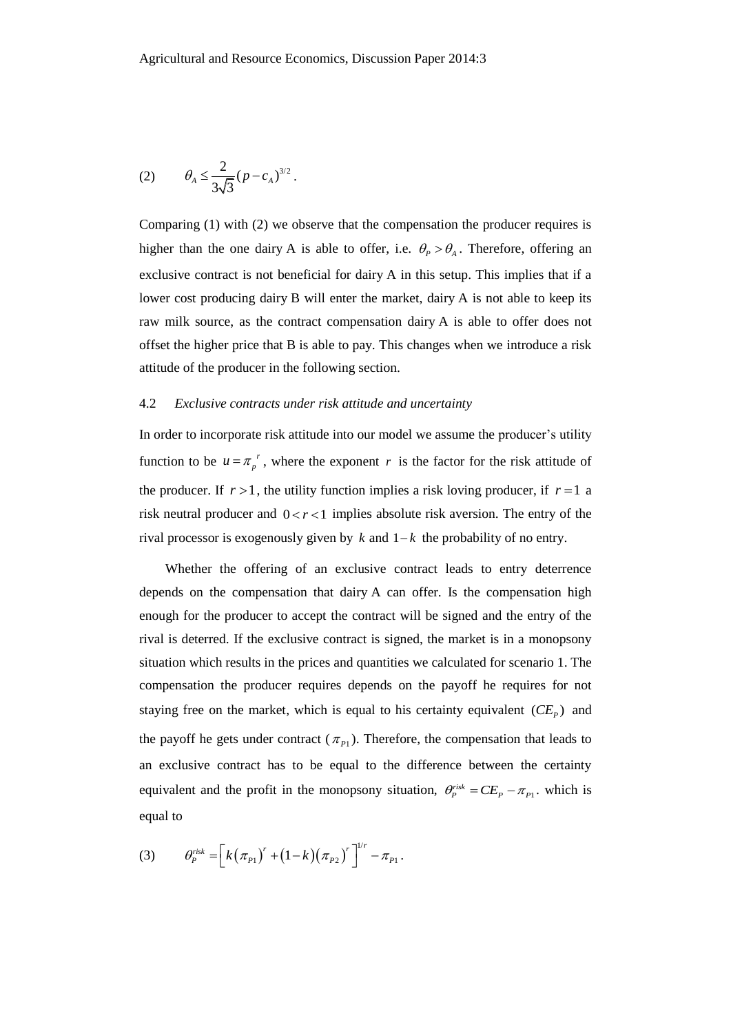(2) 
$$
\theta_A \leq \frac{2}{3\sqrt{3}} (p - c_A)^{3/2}
$$
.

Comparing (1) with (2) we observe that the compensation the producer requires is higher than the one dairy A is able to offer, i.e.  $\theta_P > \theta_A$ . Therefore, offering an exclusive contract is not beneficial for dairy A in this setup. This implies that if a lower cost producing dairy B will enter the market, dairy A is not able to keep its raw milk source, as the contract compensation dairy A is able to offer does not offset the higher price that B is able to pay. This changes when we introduce a risk attitude of the producer in the following section.

#### 4.2 *Exclusive contracts under risk attitude and uncertainty*

In order to incorporate risk attitude into our model we assume the producer's utility function to be  $u = \pi_p^r$ , where the exponent r is the factor for the risk attitude of the producer. If  $r > 1$ , the utility function implies a risk loving producer, if  $r = 1$  a risk neutral producer and  $0 < r < 1$  implies absolute risk aversion. The entry of the rival processor is exogenously given by  $k$  and  $1-k$  the probability of no entry.

Whether the offering of an exclusive contract leads to entry deterrence depends on the compensation that dairy A can offer. Is the compensation high enough for the producer to accept the contract will be signed and the entry of the rival is deterred. If the exclusive contract is signed, the market is in a monopsony situation which results in the prices and quantities we calculated for scenario 1. The compensation the producer requires depends on the payoff he requires for not staying free on the market, which is equal to his certainty equivalent  $(CE<sub>P</sub>)$  and the payoff he gets under contract  $(\pi_{p_1})$ . Therefore, the compensation that leads to an exclusive contract has to be equal to the difference between the certainty equivalent and the profit in the monopsony situation,  $\theta_P^{risk} = CE_P - \pi_{P_1}$ , which is equal to

(3) 
$$
\theta_p^{risk} = \left[k(\pi_{p_1})^r + (1-k)(\pi_{p_2})^r\right]^{1/r} - \pi_{p_1}.
$$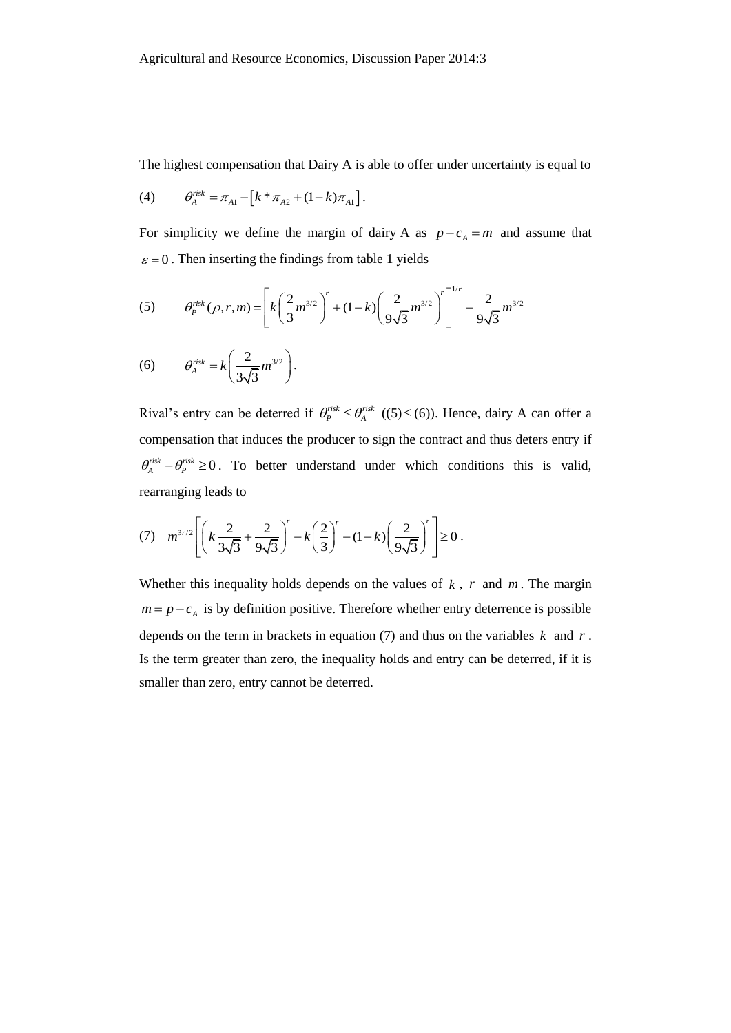The highest compensation that Dairy A is able to offer under uncertainty is equal to

(4) 
$$
\theta_A^{risk} = \pi_{A1} - [k * \pi_{A2} + (1-k)\pi_{A1}].
$$

For simplicity we define the margin of dairy A as  $p - c_A = m$  and assume that

$$
\varepsilon = 0.
$$
 Then inserting the findings from table 1 yields  
(5) 
$$
\theta_p^{risk}(\rho, r, m) = \left[ k \left( \frac{2}{3} m^{3/2} \right)^r + (1 - k) \left( \frac{2}{9\sqrt{3}} m^{3/2} \right)^r \right]^{1/r} - \frac{2}{9\sqrt{3}} m^{3/2}
$$

(6) 
$$
\theta_A^{risk} = k \left( \frac{2}{3\sqrt{3}} m^{3/2} \right).
$$

Rival's entry can be deterred if  $\theta_P^{risk} \leq \theta_A^{risk}$  ((5)  $\leq$  (6)). Hence, dairy A can offer a compensation that induces the producer to sign the contract and thus deters entry if  $\theta_A^{risk} - \theta_P^{risk} \ge 0$ . To better understand under which conditions this is valid, rearranging leads to

rearranging leads to  
\n(7) 
$$
m^{3r/2} \left[ \left( k \frac{2}{3\sqrt{3}} + \frac{2}{9\sqrt{3}} \right)^r - k \left( \frac{2}{3} \right)^r - (1 - k) \left( \frac{2}{9\sqrt{3}} \right)^r \right] \ge 0.
$$

Whether this inequality holds depends on the values of  $k$ ,  $r$  and  $m$ . The margin  $m = p - c<sub>A</sub>$  is by definition positive. Therefore whether entry deterrence is possible depends on the term in brackets in equation (7) and thus on the variables  $k$  and  $r$ . Is the term greater than zero, the inequality holds and entry can be deterred, if it is smaller than zero, entry cannot be deterred.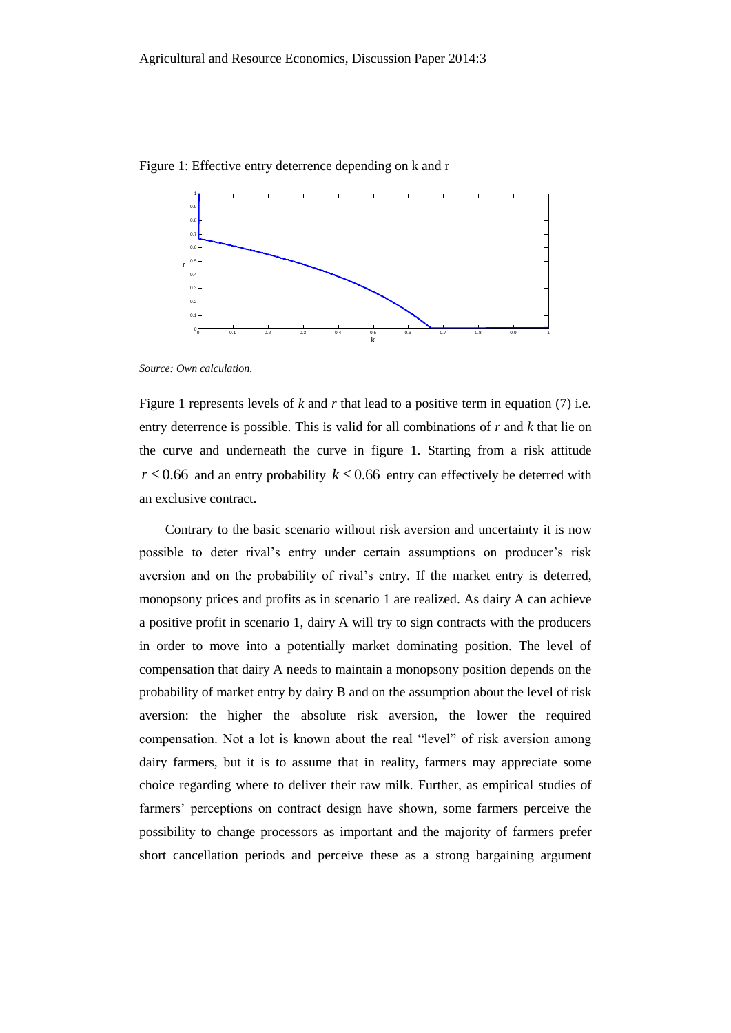

Figure 1: Effective entry deterrence depending on k and r

*Source: Own calculation.*

Figure 1 represents levels of *k* and *r* that lead to a positive term in equation (7) i.e. entry deterrence is possible. This is valid for all combinations of *r* and *k* that lie on the curve and underneath the curve in figure 1. Starting from a risk attitude  $r \le 0.66$  and an entry probability  $k \le 0.66$  entry can effectively be deterred with an exclusive contract.

Contrary to the basic scenario without risk aversion and uncertainty it is now possible to deter rival's entry under certain assumptions on producer's risk aversion and on the probability of rival's entry. If the market entry is deterred, monopsony prices and profits as in scenario 1 are realized. As dairy A can achieve a positive profit in scenario 1, dairy A will try to sign contracts with the producers in order to move into a potentially market dominating position. The level of compensation that dairy A needs to maintain a monopsony position depends on the probability of market entry by dairy B and on the assumption about the level of risk aversion: the higher the absolute risk aversion, the lower the required compensation. Not a lot is known about the real "level" of risk aversion among dairy farmers, but it is to assume that in reality, farmers may appreciate some choice regarding where to deliver their raw milk. Further, as empirical studies of farmers' perceptions on contract design have shown, some farmers perceive the possibility to change processors as important and the majority of farmers prefer short cancellation periods and perceive these as a strong bargaining argument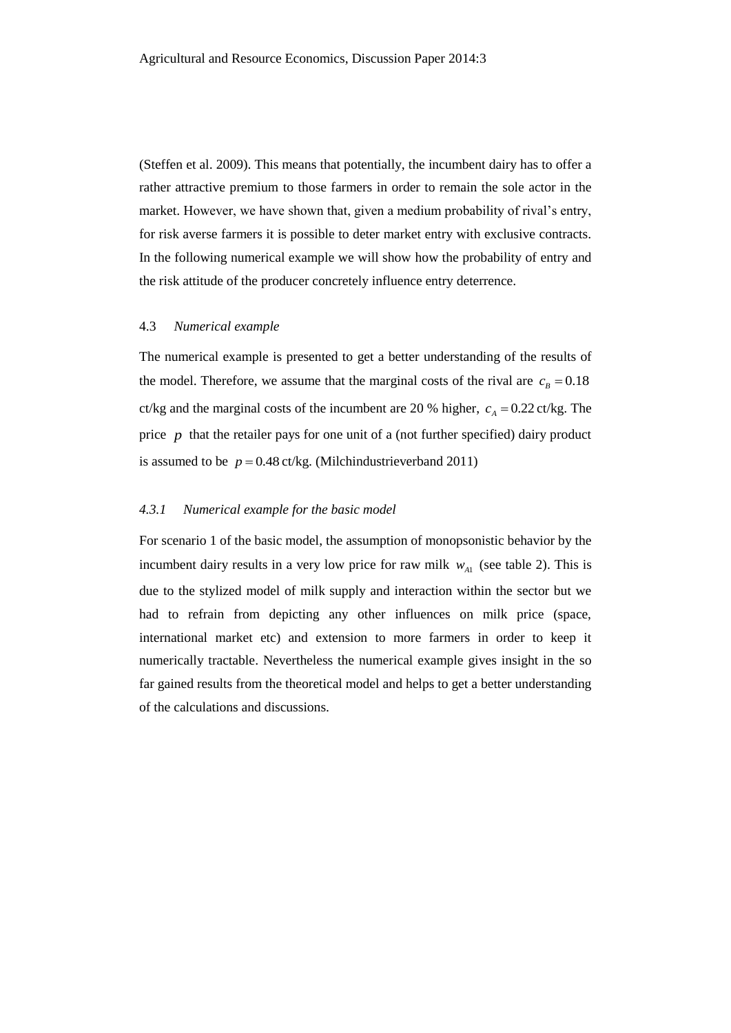(Steffen et al. 2009). This means that potentially, the incumbent dairy has to offer a rather attractive premium to those farmers in order to remain the sole actor in the market. However, we have shown that, given a medium probability of rival's entry, for risk averse farmers it is possible to deter market entry with exclusive contracts. In the following numerical example we will show how the probability of entry and the risk attitude of the producer concretely influence entry deterrence.

#### 4.3 *Numerical example*

The numerical example is presented to get a better understanding of the results of the model. Therefore, we assume that the marginal costs of the rival are  $c_B = 0.18$ ct/kg and the marginal costs of the incumbent are 20 % higher,  $c_A = 0.22$  ct/kg. The price p that the retailer pays for one unit of a (not further specified) dairy product is assumed to be  $p = 0.48$  ct/kg. (Milchindustrieverband 2011)

#### *4.3.1 Numerical example for the basic model*

For scenario 1 of the basic model, the assumption of monopsonistic behavior by the incumbent dairy results in a very low price for raw milk  $w_{A1}$  (see table 2). This is due to the stylized model of milk supply and interaction within the sector but we had to refrain from depicting any other influences on milk price (space, international market etc) and extension to more farmers in order to keep it numerically tractable. Nevertheless the numerical example gives insight in the so far gained results from the theoretical model and helps to get a better understanding of the calculations and discussions.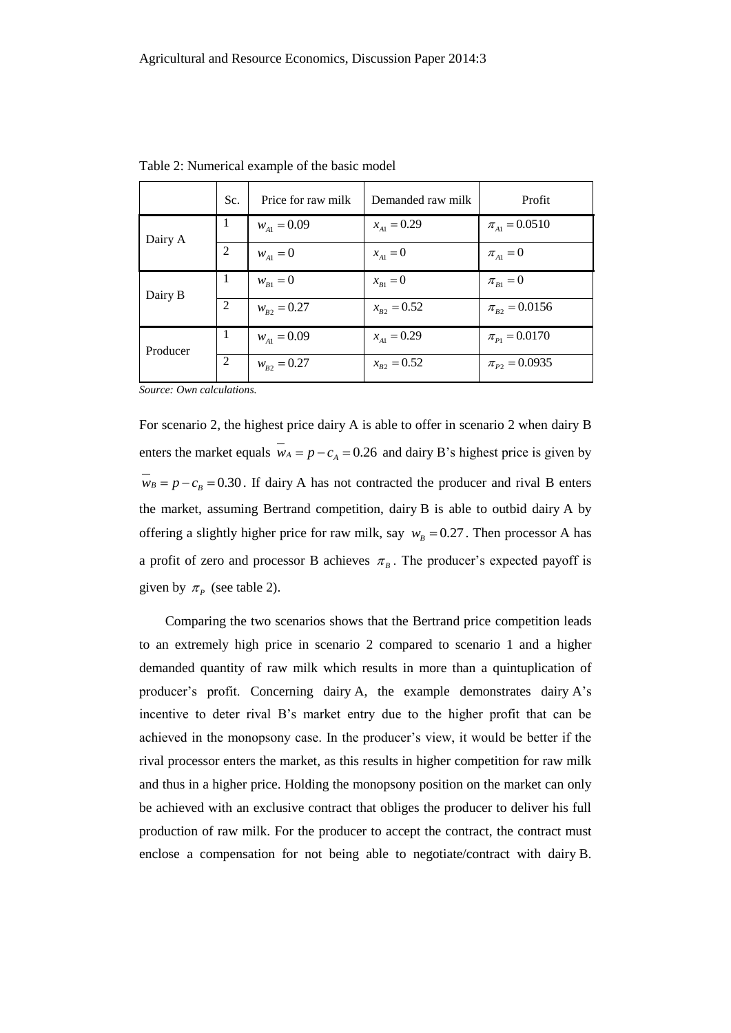|          | Sc.            | Price for raw milk | Demanded raw milk | Profit                             |
|----------|----------------|--------------------|-------------------|------------------------------------|
| Dairy A  | -1             | $W_{A1} = 0.09$    | $x_{A1} = 0.29$   | $\pi_{A1} = 0.0510$                |
|          | 2              | $w_{A1} = 0$       | $x_{A1} = 0$      | $\pi_{\scriptscriptstyle{A1}} = 0$ |
| Dairy B  | 1              | $w_{B1} = 0$       | $x_{B1} = 0$      | $\pi_{B1} = 0$                     |
|          | $\overline{2}$ | $W_{R2} = 0.27$    | $x_{R2} = 0.52$   | $\pi_{B2} = 0.0156$                |
| Producer | 1              | $W_{A1} = 0.09$    | $x_{A1} = 0.29$   | $\pi_{P1} = 0.0170$                |
|          | 2              | $W_{B2} = 0.27$    | $x_{R2} = 0.52$   | $\pi_{P2} = 0.0935$                |

Table 2: Numerical example of the basic model

*Source: Own calculations.* 

For scenario 2, the highest price dairy A is able to offer in scenario 2 when dairy B enters the market equals  $\overline{w}_A = p - c_A = 0.26$  and dairy B's highest price is given by  $\bar{w}_B = p - c_B = 0.30$ . If dairy A has not contracted the producer and rival B enters the market, assuming Bertrand competition, dairy B is able to outbid dairy A by offering a slightly higher price for raw milk, say  $w_B = 0.27$ . Then processor A has a profit of zero and processor B achieves  $\pi<sub>B</sub>$ . The producer's expected payoff is given by  $\pi_p$  (see table 2).

Comparing the two scenarios shows that the Bertrand price competition leads to an extremely high price in scenario 2 compared to scenario 1 and a higher demanded quantity of raw milk which results in more than a quintuplication of producer's profit. Concerning dairy A, the example demonstrates dairy A's incentive to deter rival B's market entry due to the higher profit that can be achieved in the monopsony case. In the producer's view, it would be better if the rival processor enters the market, as this results in higher competition for raw milk and thus in a higher price. Holding the monopsony position on the market can only be achieved with an exclusive contract that obliges the producer to deliver his full production of raw milk. For the producer to accept the contract, the contract must enclose a compensation for not being able to negotiate/contract with dairy B.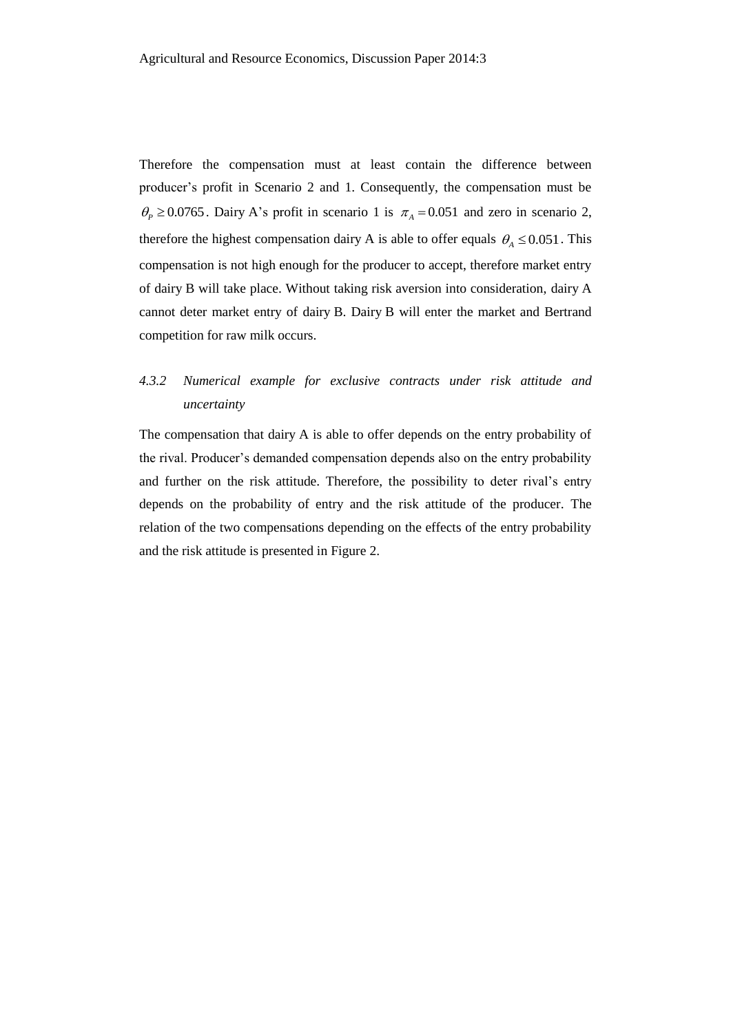Therefore the compensation must at least contain the difference between producer's profit in Scenario 2 and 1. Consequently, the compensation must be  $\theta_P \ge 0.0765$ . Dairy A's profit in scenario 1 is  $\pi_A = 0.051$  and zero in scenario 2, therefore the highest compensation dairy A is able to offer equals  $\theta_A \le 0.051$ . This compensation is not high enough for the producer to accept, therefore market entry of dairy B will take place. Without taking risk aversion into consideration, dairy A cannot deter market entry of dairy B. Dairy B will enter the market and Bertrand competition for raw milk occurs.

### *4.3.2 Numerical example for exclusive contracts under risk attitude and uncertainty*

The compensation that dairy A is able to offer depends on the entry probability of the rival. Producer's demanded compensation depends also on the entry probability and further on the risk attitude. Therefore, the possibility to deter rival's entry depends on the probability of entry and the risk attitude of the producer. The relation of the two compensations depending on the effects of the entry probability and the risk attitude is presented in Figure 2.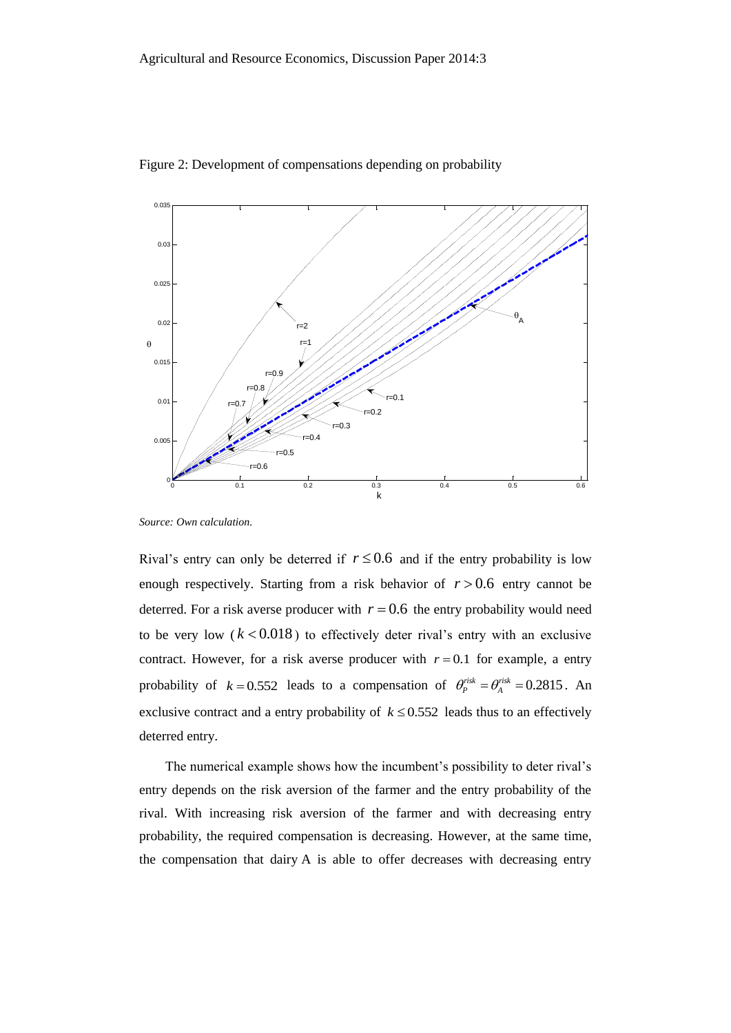

Figure 2: Development of compensations depending on probability

*Source: Own calculation.*

Rival's entry can only be deterred if  $r \leq 0.6$  and if the entry probability is low enough respectively. Starting from a risk behavior of  $r > 0.6$  entry cannot be deterred. For a risk averse producer with  $r = 0.6$  the entry probability would need to be very low  $(k < 0.018)$  to effectively deter rival's entry with an exclusive contract. However, for a risk averse producer with  $r = 0.1$  for example, a entry probability of  $k = 0.552$  leads to a compensation of  $\theta_p^{risk} = \theta_A^{risk} = 0.2815$ . An exclusive contract and a entry probability of  $k \le 0.552$  leads thus to an effectively deterred entry.

The numerical example shows how the incumbent's possibility to deter rival's entry depends on the risk aversion of the farmer and the entry probability of the rival. With increasing risk aversion of the farmer and with decreasing entry probability, the required compensation is decreasing. However, at the same time, the compensation that dairy A is able to offer decreases with decreasing entry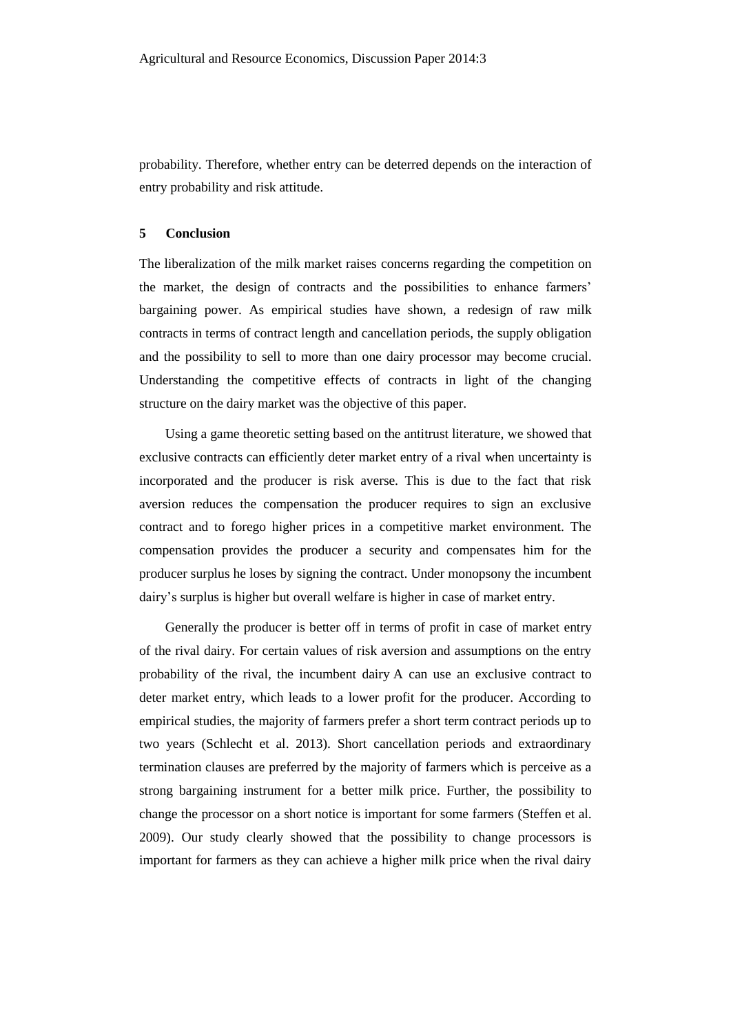probability. Therefore, whether entry can be deterred depends on the interaction of entry probability and risk attitude.

#### **5 Conclusion**

The liberalization of the milk market raises concerns regarding the competition on the market, the design of contracts and the possibilities to enhance farmers' bargaining power. As empirical studies have shown, a redesign of raw milk contracts in terms of contract length and cancellation periods, the supply obligation and the possibility to sell to more than one dairy processor may become crucial. Understanding the competitive effects of contracts in light of the changing structure on the dairy market was the objective of this paper.

Using a game theoretic setting based on the antitrust literature, we showed that exclusive contracts can efficiently deter market entry of a rival when uncertainty is incorporated and the producer is risk averse. This is due to the fact that risk aversion reduces the compensation the producer requires to sign an exclusive contract and to forego higher prices in a competitive market environment. The compensation provides the producer a security and compensates him for the producer surplus he loses by signing the contract. Under monopsony the incumbent dairy's surplus is higher but overall welfare is higher in case of market entry.

Generally the producer is better off in terms of profit in case of market entry of the rival dairy. For certain values of risk aversion and assumptions on the entry probability of the rival, the incumbent dairy A can use an exclusive contract to deter market entry, which leads to a lower profit for the producer. According to empirical studies, the majority of farmers prefer a short term contract periods up to two years (Schlecht et al. 2013). Short cancellation periods and extraordinary termination clauses are preferred by the majority of farmers which is perceive as a strong bargaining instrument for a better milk price. Further, the possibility to change the processor on a short notice is important for some farmers (Steffen et al. 2009). Our study clearly showed that the possibility to change processors is important for farmers as they can achieve a higher milk price when the rival dairy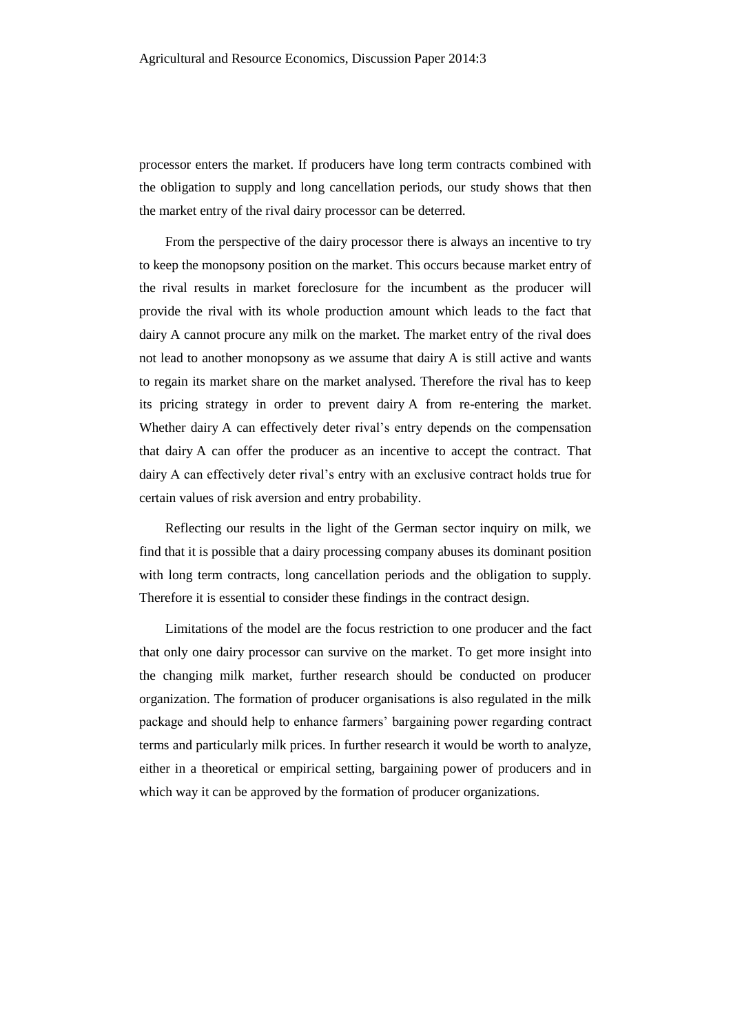processor enters the market. If producers have long term contracts combined with the obligation to supply and long cancellation periods, our study shows that then the market entry of the rival dairy processor can be deterred.

From the perspective of the dairy processor there is always an incentive to try to keep the monopsony position on the market. This occurs because market entry of the rival results in market foreclosure for the incumbent as the producer will provide the rival with its whole production amount which leads to the fact that dairy A cannot procure any milk on the market. The market entry of the rival does not lead to another monopsony as we assume that dairy A is still active and wants to regain its market share on the market analysed. Therefore the rival has to keep its pricing strategy in order to prevent dairy A from re-entering the market. Whether dairy A can effectively deter rival's entry depends on the compensation that dairy A can offer the producer as an incentive to accept the contract. That dairy A can effectively deter rival's entry with an exclusive contract holds true for certain values of risk aversion and entry probability.

Reflecting our results in the light of the German sector inquiry on milk, we find that it is possible that a dairy processing company abuses its dominant position with long term contracts, long cancellation periods and the obligation to supply. Therefore it is essential to consider these findings in the contract design.

Limitations of the model are the focus restriction to one producer and the fact that only one dairy processor can survive on the market. To get more insight into the changing milk market, further research should be conducted on producer organization. The formation of producer organisations is also regulated in the milk package and should help to enhance farmers' bargaining power regarding contract terms and particularly milk prices. In further research it would be worth to analyze, either in a theoretical or empirical setting, bargaining power of producers and in which way it can be approved by the formation of producer organizations.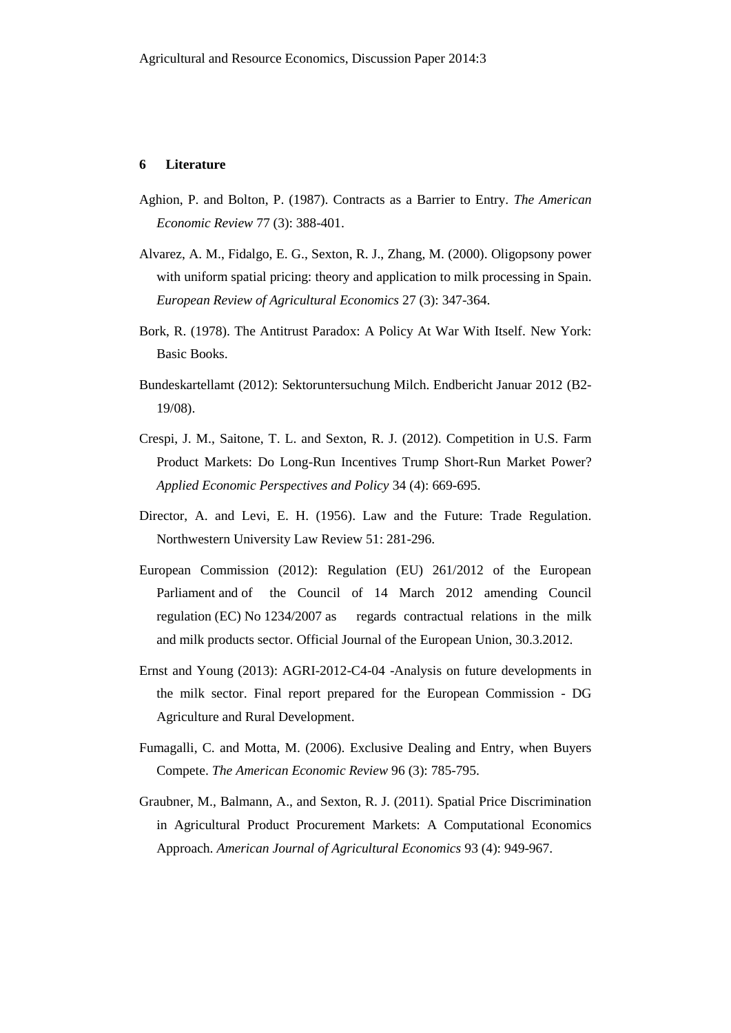#### **6 Literature**

- Aghion, P. and Bolton, P. (1987). Contracts as a Barrier to Entry. *The American Economic Review* 77 (3): 388-401.
- Alvarez, A. M., Fidalgo, E. G., Sexton, R. J., Zhang, M. (2000). Oligopsony power with uniform spatial pricing: theory and application to milk processing in Spain. *European Review of Agricultural Economics* 27 (3): 347-364.
- Bork, R. (1978). The Antitrust Paradox: A Policy At War With Itself. New York: Basic Books.
- Bundeskartellamt (2012): Sektoruntersuchung Milch. Endbericht Januar 2012 (B2- 19/08).
- Crespi, J. M., Saitone, T. L. and Sexton, R. J. (2012). Competition in U.S. Farm Product Markets: Do Long-Run Incentives Trump Short-Run Market Power? *Applied Economic Perspectives and Policy* 34 (4): 669-695.
- Director, A. and Levi, E. H. (1956). Law and the Future: Trade Regulation. Northwestern University Law Review 51: 281-296.
- European Commission (2012): Regulation (EU) 261/2012 of the European Parliament and of the Council of 14 March 2012 amending Council regulation (EC) No 1234/2007 as regards contractual relations in the milk and milk products sector. Official Journal of the European Union, 30.3.2012.
- Ernst and Young (2013): AGRI-2012-C4-04 -Analysis on future developments in the milk sector. Final report prepared for the European Commission - DG Agriculture and Rural Development.
- Fumagalli, C. and Motta, M. (2006). Exclusive Dealing and Entry, when Buyers Compete. *The American Economic Review* 96 (3): 785-795.
- Graubner, M., Balmann, A., and Sexton, R. J. (2011). Spatial Price Discrimination in Agricultural Product Procurement Markets: A Computational Economics Approach. *American Journal of Agricultural Economics* 93 (4): 949-967.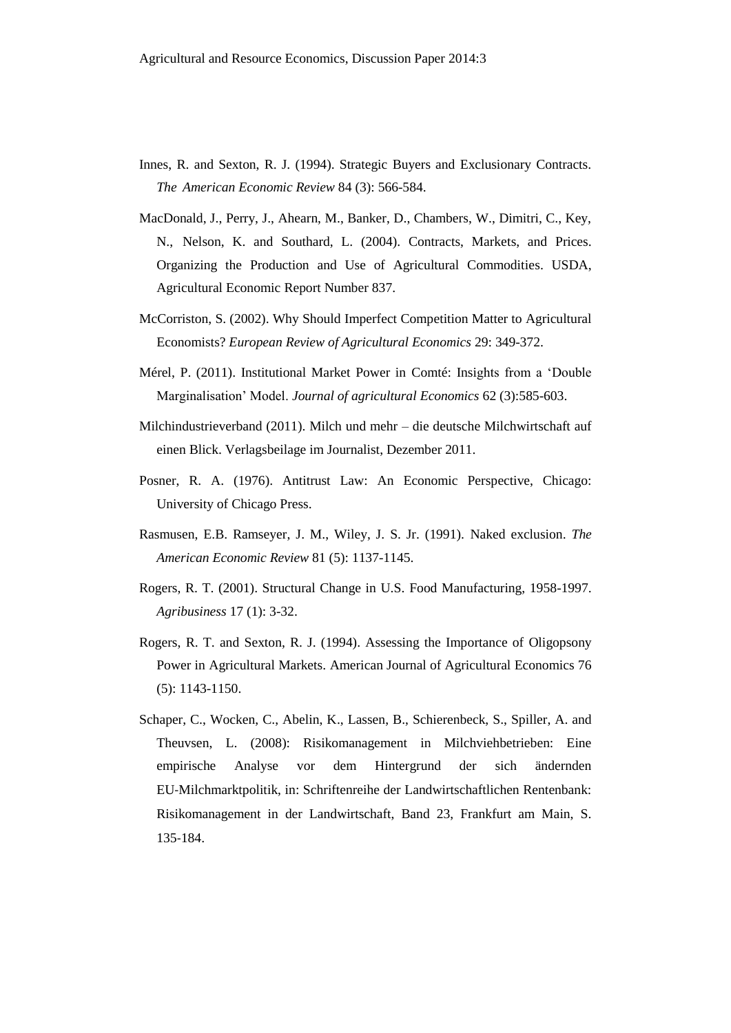- Innes, R. and Sexton, R. J. (1994). Strategic Buyers and Exclusionary Contracts. *The American Economic Review* 84 (3): 566-584.
- MacDonald, J., Perry, J., Ahearn, M., Banker, D., Chambers, W., Dimitri, C., Key, N., Nelson, K. and Southard, L. (2004). Contracts, Markets, and Prices. Organizing the Production and Use of Agricultural Commodities. USDA, Agricultural Economic Report Number 837.
- McCorriston, S. (2002). Why Should Imperfect Competition Matter to Agricultural Economists? *European Review of Agricultural Economics* 29: 349-372.
- Mérel, P. (2011). Institutional Market Power in Comté: Insights from a 'Double Marginalisation' Model. *Journal of agricultural Economics* 62 (3):585-603.
- Milchindustrieverband (2011). Milch und mehr die deutsche Milchwirtschaft auf einen Blick. Verlagsbeilage im Journalist, Dezember 2011.
- Posner, R. A. (1976). Antitrust Law: An Economic Perspective, Chicago: University of Chicago Press.
- Rasmusen, E.B. Ramseyer, J. M., Wiley, J. S. Jr. (1991). Naked exclusion. *The American Economic Review* 81 (5): 1137-1145.
- Rogers, R. T. (2001). Structural Change in U.S. Food Manufacturing, 1958-1997. *Agribusiness* 17 (1): 3-32.
- Rogers, R. T. and Sexton, R. J. (1994). Assessing the Importance of Oligopsony Power in Agricultural Markets. American Journal of Agricultural Economics 76 (5): 1143-1150.
- Schaper, C., Wocken, C., Abelin, K., Lassen, B., Schierenbeck, S., Spiller, A. and Theuvsen, L. (2008): Risikomanagement in Milchviehbetrieben: Eine empirische Analyse vor dem Hintergrund der sich ändernden EU‐Milchmarktpolitik, in: Schriftenreihe der Landwirtschaftlichen Rentenbank: Risikomanagement in der Landwirtschaft, Band 23, Frankfurt am Main, S. 135‐184.